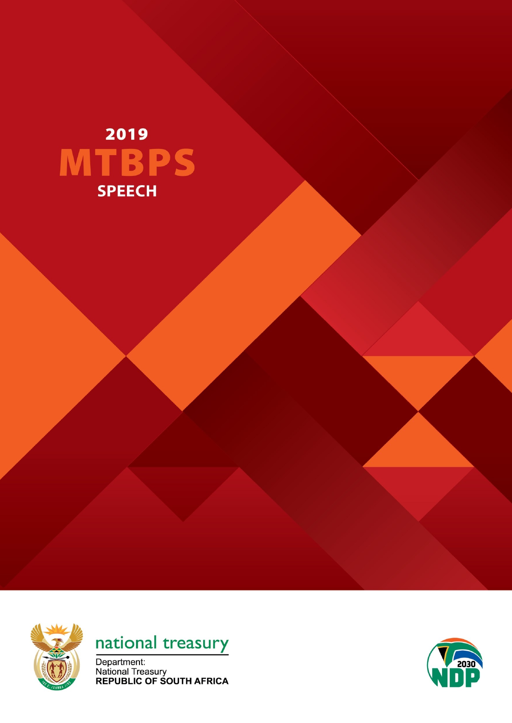# 2019 **MTBPS SPEECH**





Department:<br>National Treasury<br>REPUBLIC OF SOUTH AFRICA

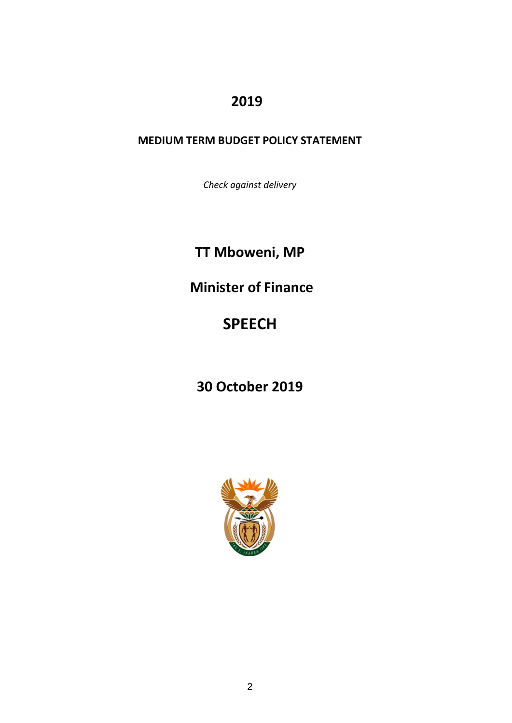## **2019**

#### **MEDIUM TERM BUDGET POLICY STATEMENT**

*Check against delivery*

**TT Mboweni, MP**

**Minister of Finance**

## **SPEECH**

**30 October 2019**

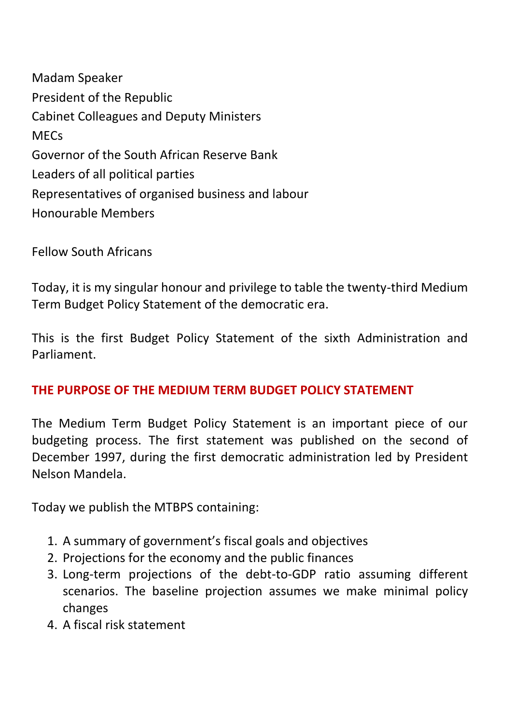Madam Speaker President of the Republic Cabinet Colleagues and Deputy Ministers **MECs** Governor of the South African Reserve Bank Leaders of all political parties Representatives of organised business and labour Honourable Members

Fellow South Africans

Today, it is my singular honour and privilege to table the twenty-third Medium Term Budget Policy Statement of the democratic era.

This is the first Budget Policy Statement of the sixth Administration and Parliament.

#### **THE PURPOSE OF THE MEDIUM TERM BUDGET POLICY STATEMENT**

The Medium Term Budget Policy Statement is an important piece of our budgeting process. The first statement was published on the second of December 1997, during the first democratic administration led by President Nelson Mandela.

Today we publish the MTBPS containing:

- 1. A summary of government's fiscal goals and objectives
- 2. Projections for the economy and the public finances
- 3. Long-term projections of the debt-to-GDP ratio assuming different scenarios. The baseline projection assumes we make minimal policy changes
- 4. A fiscal risk statement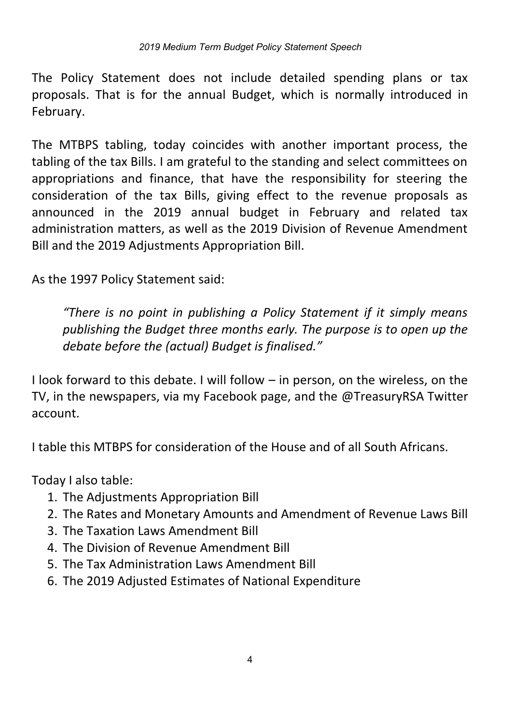The Policy Statement does not include detailed spending plans or tax proposals. That is for the annual Budget, which is normally introduced in February.

The MTBPS tabling, today coincides with another important process, the tabling of the tax Bills. I am grateful to the standing and select committees on appropriations and finance, that have the responsibility for steering the consideration of the tax Bills, giving effect to the revenue proposals as announced in the 2019 annual budget in February and related tax administration matters, as well as the 2019 Division of Revenue Amendment Bill and the 2019 Adjustments Appropriation Bill.

As the 1997 Policy Statement said:

*"There is no point in publishing a Policy Statement if it simply means publishing the Budget three months early. The purpose is to open up the debate before the (actual) Budget is finalised."*

I look forward to this debate. I will follow – in person, on the wireless, on the TV, in the newspapers, via my Facebook page, and the @TreasuryRSA Twitter account.

I table this MTBPS for consideration of the House and of all South Africans.

Today I also table:

- 1. The Adjustments Appropriation Bill
- 2. The Rates and Monetary Amounts and Amendment of Revenue Laws Bill
- 3. The Taxation Laws Amendment Bill
- 4. The Division of Revenue Amendment Bill
- 5. The Tax Administration Laws Amendment Bill
- 6. The 2019 Adjusted Estimates of National Expenditure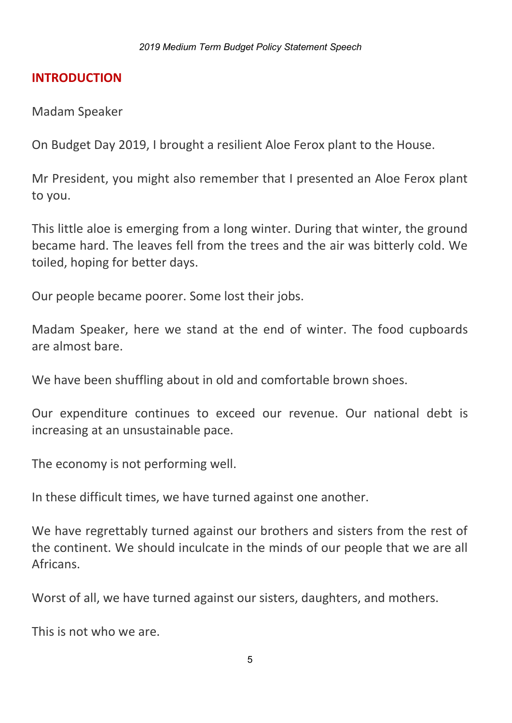#### **INTRODUCTION**

Madam Speaker

On Budget Day 2019, I brought a resilient Aloe Ferox plant to the House.

Mr President, you might also remember that I presented an Aloe Ferox plant to you.

This little aloe is emerging from a long winter. During that winter, the ground became hard. The leaves fell from the trees and the air was bitterly cold. We toiled, hoping for better days.

Our people became poorer. Some lost their jobs.

Madam Speaker, here we stand at the end of winter. The food cupboards are almost bare.

We have been shuffling about in old and comfortable brown shoes.

Our expenditure continues to exceed our revenue. Our national debt is increasing at an unsustainable pace.

The economy is not performing well.

In these difficult times, we have turned against one another.

We have regrettably turned against our brothers and sisters from the rest of the continent. We should inculcate in the minds of our people that we are all Africans.

Worst of all, we have turned against our sisters, daughters, and mothers.

This is not who we are.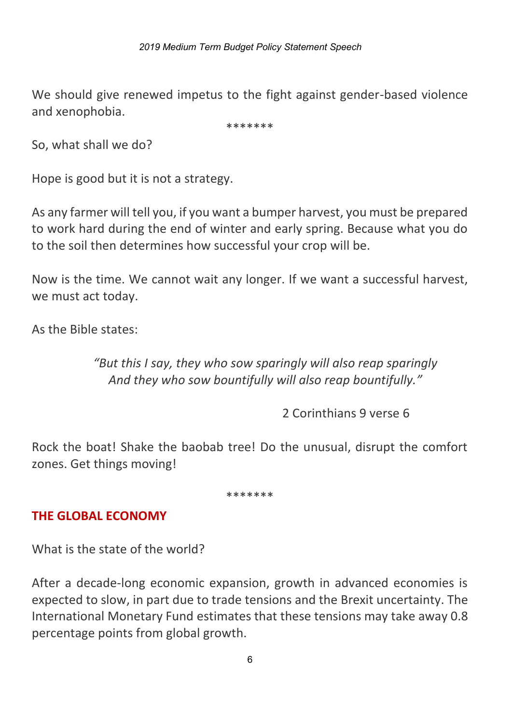We should give renewed impetus to the fight against gender-based violence and xenophobia.

\*\*\*\*\*\*\*

So, what shall we do?

Hope is good but it is not a strategy.

As any farmer will tell you, if you want a bumper harvest, you must be prepared to work hard during the end of winter and early spring. Because what you do to the soil then determines how successful your crop will be.

Now is the time. We cannot wait any longer. If we want a successful harvest, we must act today.

As the Bible states:

*"But this I say, they who sow sparingly will also reap sparingly And they who sow bountifully will also reap bountifully."*

2 Corinthians 9 verse 6

Rock the boat! Shake the baobab tree! Do the unusual, disrupt the comfort zones. Get things moving!

\*\*\*\*\*\*\*

#### **THE GLOBAL ECONOMY**

What is the state of the world?

After a decade-long economic expansion, growth in advanced economies is expected to slow, in part due to trade tensions and the Brexit uncertainty. The International Monetary Fund estimates that these tensions may take away 0.8 percentage points from global growth.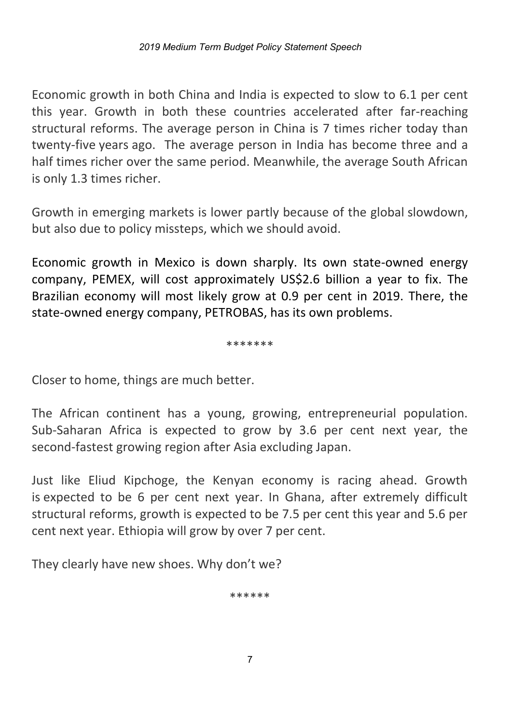Economic growth in both China and India is expected to slow to 6.1 per cent this year. Growth in both these countries accelerated after far-reaching structural reforms. The average person in China is 7 times richer today than twenty-five years ago. The average person in India has become three and a half times richer over the same period. Meanwhile, the average South African is only 1.3 times richer.

Growth in emerging markets is lower partly because of the global slowdown, but also due to policy missteps, which we should avoid.

Economic growth in Mexico is down sharply. Its own state-owned energy company, PEMEX, will cost approximately US\$2.6 billion a year to fix. The Brazilian economy will most likely grow at 0.9 per cent in 2019. There, the state-owned energy company, PETROBAS, has its own problems.

\*\*\*\*\*\*\*

Closer to home, things are much better.

The African continent has a young, growing, entrepreneurial population. Sub-Saharan Africa is expected to grow by 3.6 per cent next year, the second-fastest growing region after Asia excluding Japan.

Just like Eliud Kipchoge, the Kenyan economy is racing ahead. Growth is expected to be 6 per cent next year. In Ghana, after extremely difficult structural reforms, growth is expected to be 7.5 per cent this year and 5.6 per cent next year. Ethiopia will grow by over 7 per cent.

They clearly have new shoes. Why don't we?

\*\*\*\*\*\*

7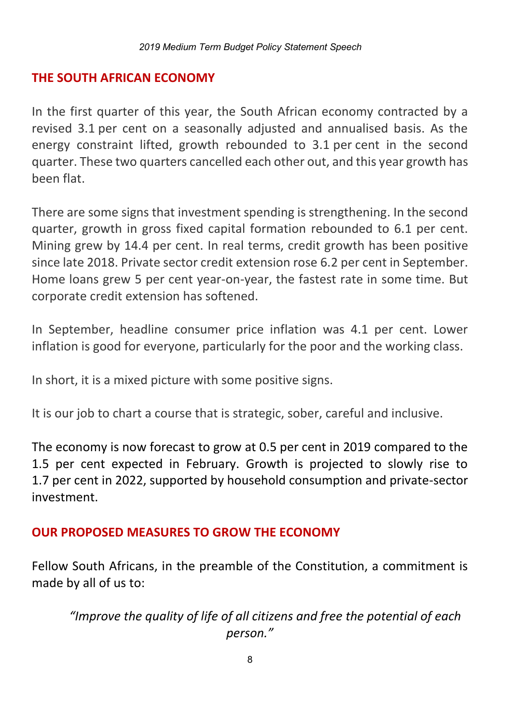#### **THE SOUTH AFRICAN ECONOMY**

In the first quarter of this year, the South African economy contracted by a revised 3.1 per cent on a seasonally adjusted and annualised basis. As the energy constraint lifted, growth rebounded to 3.1 per cent in the second quarter. These two quarters cancelled each other out, and this year growth has been flat.

There are some signs that investment spending is strengthening. In the second quarter, growth in gross fixed capital formation rebounded to 6.1 per cent. Mining grew by 14.4 per cent. In real terms, credit growth has been positive since late 2018. Private sector credit extension rose 6.2 per cent in September. Home loans grew 5 per cent year-on-year, the fastest rate in some time. But corporate credit extension has softened.

In September, headline consumer price inflation was 4.1 per cent. Lower inflation is good for everyone, particularly for the poor and the working class.

In short, it is a mixed picture with some positive signs.

It is our job to chart a course that is strategic, sober, careful and inclusive.

The economy is now forecast to grow at 0.5 per cent in 2019 compared to the 1.5 per cent expected in February. Growth is projected to slowly rise to 1.7 per cent in 2022, supported by household consumption and private-sector investment.

#### **OUR PROPOSED MEASURES TO GROW THE ECONOMY**

Fellow South Africans, in the preamble of the Constitution, a commitment is made by all of us to:

*"Improve the quality of life of all citizens and free the potential of each person."*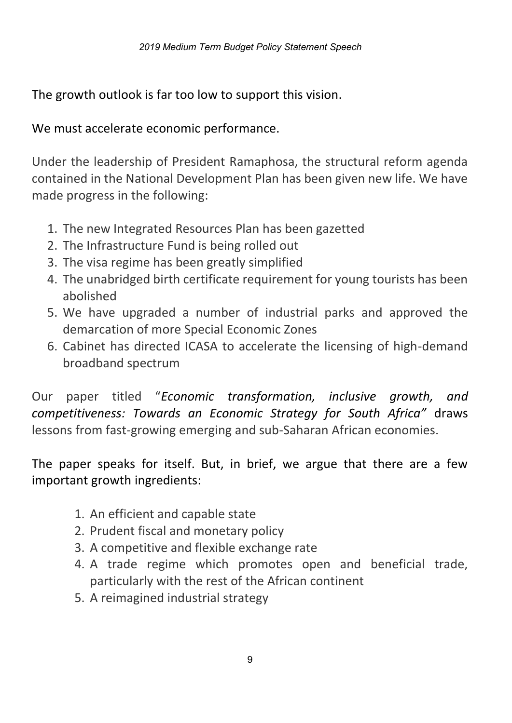The growth outlook is far too low to support this vision.

We must accelerate economic performance.

Under the leadership of President Ramaphosa, the structural reform agenda contained in the National Development Plan has been given new life. We have made progress in the following:

- 1. The new Integrated Resources Plan has been gazetted
- 2. The Infrastructure Fund is being rolled out
- 3. The visa regime has been greatly simplified
- 4. The unabridged birth certificate requirement for young tourists has been abolished
- 5. We have upgraded a number of industrial parks and approved the demarcation of more Special Economic Zones
- 6. Cabinet has directed ICASA to accelerate the licensing of high-demand broadband spectrum

Our paper titled "*Economic transformation, inclusive growth, and competitiveness: Towards an Economic Strategy for South Africa"* draws lessons from fast-growing emerging and sub-Saharan African economies.

The paper speaks for itself. But, in brief, we argue that there are a few important growth ingredients:

- 1. An efficient and capable state
- 2. Prudent fiscal and monetary policy
- 3. A competitive and flexible exchange rate
- 4. A trade regime which promotes open and beneficial trade, particularly with the rest of the African continent
- 5. A reimagined industrial strategy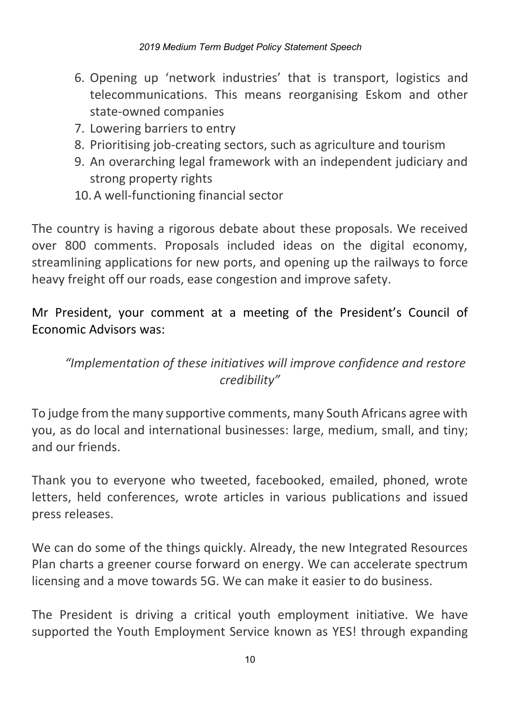- 6. Opening up 'network industries' that is transport, logistics and telecommunications. This means reorganising Eskom and other state-owned companies
- 7. Lowering barriers to entry
- 8. Prioritising job-creating sectors, such as agriculture and tourism
- 9. An overarching legal framework with an independent judiciary and strong property rights
- 10.A well-functioning financial sector

The country is having a rigorous debate about these proposals. We received over 800 comments. Proposals included ideas on the digital economy, streamlining applications for new ports, and opening up the railways to force heavy freight off our roads, ease congestion and improve safety.

Mr President, your comment at a meeting of the President's Council of Economic Advisors was:

## *"Implementation of these initiatives will improve confidence and restore credibility"*

To judge from the many supportive comments, many South Africans agree with you, as do local and international businesses: large, medium, small, and tiny; and our friends.

Thank you to everyone who tweeted, facebooked, emailed, phoned, wrote letters, held conferences, wrote articles in various publications and issued press releases.

We can do some of the things quickly. Already, the new Integrated Resources Plan charts a greener course forward on energy. We can accelerate spectrum licensing and a move towards 5G. We can make it easier to do business.

The President is driving a critical youth employment initiative. We have supported the Youth Employment Service known as YES! through expanding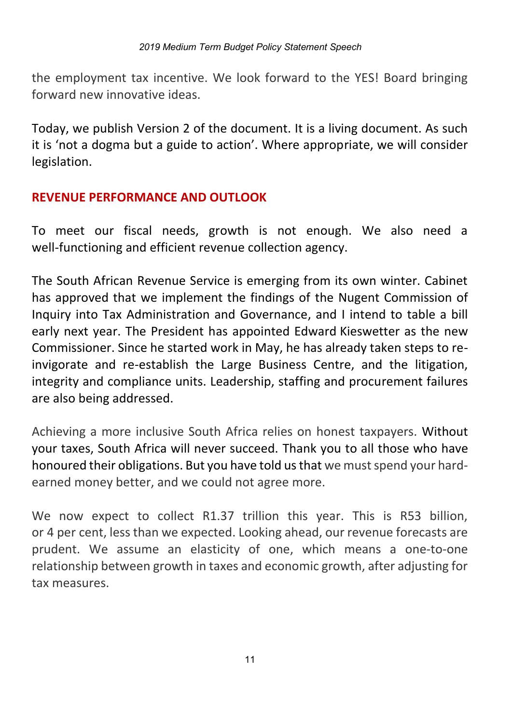the employment tax incentive. We look forward to the YES! Board bringing forward new innovative ideas.

Today, we publish Version 2 of the document. It is a living document. As such it is 'not a dogma but a guide to action'. Where appropriate, we will consider legislation.

#### **REVENUE PERFORMANCE AND OUTLOOK**

To meet our fiscal needs, growth is not enough. We also need a well-functioning and efficient revenue collection agency.

The South African Revenue Service is emerging from its own winter. Cabinet has approved that we implement the findings of the Nugent Commission of Inquiry into Tax Administration and Governance, and I intend to table a bill early next year. The President has appointed Edward Kieswetter as the new Commissioner. Since he started work in May, he has already taken steps to reinvigorate and re-establish the Large Business Centre, and the litigation, integrity and compliance units. Leadership, staffing and procurement failures are also being addressed.

Achieving a more inclusive South Africa relies on honest taxpayers. Without your taxes, South Africa will never succeed. Thank you to all those who have honoured their obligations. But you have told us that we must spend your hardearned money better, and we could not agree more.

We now expect to collect R1.37 trillion this year. This is R53 billion, or 4 per cent, less than we expected. Looking ahead, our revenue forecasts are prudent. We assume an elasticity of one, which means a one-to-one relationship between growth in taxes and economic growth, after adjusting for tax measures.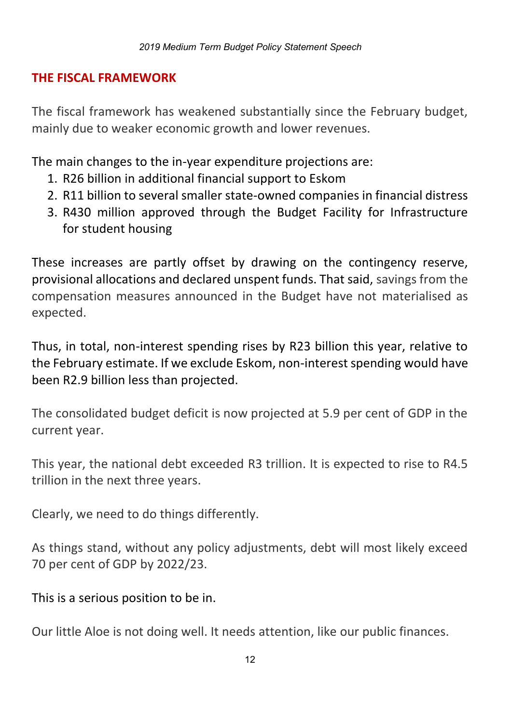#### **THE FISCAL FRAMEWORK**

The fiscal framework has weakened substantially since the February budget, mainly due to weaker economic growth and lower revenues.

The main changes to the in-year expenditure projections are:

- 1. R26 billion in additional financial support to Eskom
- 2. R11 billion to several smaller state-owned companies in financial distress
- 3. R430 million approved through the Budget Facility for Infrastructure for student housing

These increases are partly offset by drawing on the contingency reserve, provisional allocations and declared unspent funds. That said, savings from the compensation measures announced in the Budget have not materialised as expected.

Thus, in total, non-interest spending rises by R23 billion this year, relative to the February estimate. If we exclude Eskom, non-interest spending would have been R2.9 billion less than projected.

The consolidated budget deficit is now projected at 5.9 per cent of GDP in the current year.

This year, the national debt exceeded R3 trillion. It is expected to rise to R4.5 trillion in the next three years.

Clearly, we need to do things differently.

As things stand, without any policy adjustments, debt will most likely exceed 70 per cent of GDP by 2022/23.

This is a serious position to be in.

Our little Aloe is not doing well. It needs attention, like our public finances.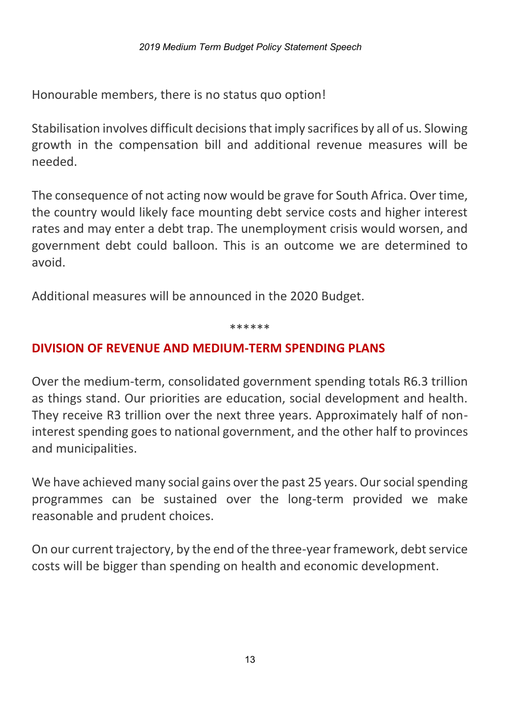Honourable members, there is no status quo option!

Stabilisation involves difficult decisions that imply sacrifices by all of us. Slowing growth in the compensation bill and additional revenue measures will be needed.

The consequence of not acting now would be grave for South Africa. Over time, the country would likely face mounting debt service costs and higher interest rates and may enter a debt trap. The unemployment crisis would worsen, and government debt could balloon. This is an outcome we are determined to avoid.

Additional measures will be announced in the 2020 Budget.

#### \*\*\*\*\*\*

#### **DIVISION OF REVENUE AND MEDIUM-TERM SPENDING PLANS**

Over the medium-term, consolidated government spending totals R6.3 trillion as things stand. Our priorities are education, social development and health. They receive R3 trillion over the next three years. Approximately half of noninterest spending goes to national government, and the other half to provinces and municipalities.

We have achieved many social gains over the past 25 years. Our social spending programmes can be sustained over the long-term provided we make reasonable and prudent choices.

On our current trajectory, by the end of the three-year framework, debt service costs will be bigger than spending on health and economic development.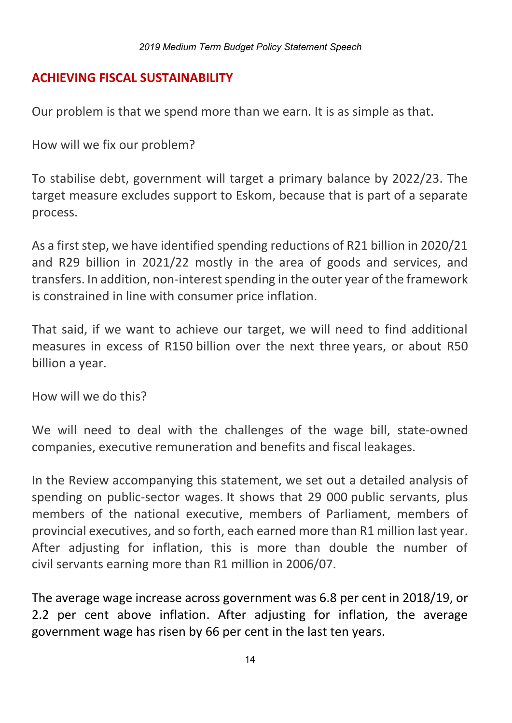#### **ACHIEVING FISCAL SUSTAINABILITY**

Our problem is that we spend more than we earn. It is as simple as that.

How will we fix our problem?

To stabilise debt, government will target a primary balance by 2022/23. The target measure excludes support to Eskom, because that is part of a separate process.

As a first step, we have identified spending reductions of R21 billion in 2020/21 and R29 billion in 2021/22 mostly in the area of goods and services, and transfers. In addition, non-interest spending in the outer year of the framework is constrained in line with consumer price inflation.

That said, if we want to achieve our target, we will need to find additional measures in excess of R150 billion over the next three years, or about R50 billion a year.

How will we do this?

We will need to deal with the challenges of the wage bill, state-owned companies, executive remuneration and benefits and fiscal leakages.

In the Review accompanying this statement, we set out a detailed analysis of spending on public-sector wages. It shows that 29 000 public servants, plus members of the national executive, members of Parliament, members of provincial executives, and so forth, each earned more than R1 million last year. After adjusting for inflation, this is more than double the number of civil servants earning more than R1 million in 2006/07.

The average wage increase across government was 6.8 per cent in 2018/19, or 2.2 per cent above inflation. After adjusting for inflation, the average government wage has risen by 66 per cent in the last ten years.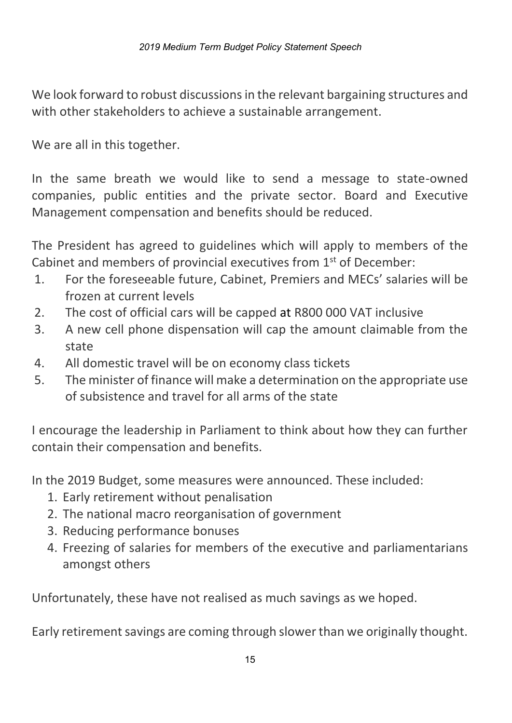We look forward to robust discussions in the relevant bargaining structures and with other stakeholders to achieve a sustainable arrangement.

We are all in this together.

In the same breath we would like to send a message to state-owned companies, public entities and the private sector. Board and Executive Management compensation and benefits should be reduced.

The President has agreed to guidelines which will apply to members of the Cabinet and members of provincial executives from 1<sup>st</sup> of December:

- 1. For the foreseeable future, Cabinet, Premiers and MECs' salaries will be frozen at current levels
- 2. The cost of official cars will be capped at R800 000 VAT inclusive
- 3. A new cell phone dispensation will cap the amount claimable from the state
- 4. All domestic travel will be on economy class tickets
- 5. The minister of finance will make a determination on the appropriate use of subsistence and travel for all arms of the state

I encourage the leadership in Parliament to think about how they can further contain their compensation and benefits.

In the 2019 Budget, some measures were announced. These included:

- 1. Early retirement without penalisation
- 2. The national macro reorganisation of government
- 3. Reducing performance bonuses
- 4. Freezing of salaries for members of the executive and parliamentarians amongst others

Unfortunately, these have not realised as much savings as we hoped.

Early retirement savings are coming through slower than we originally thought.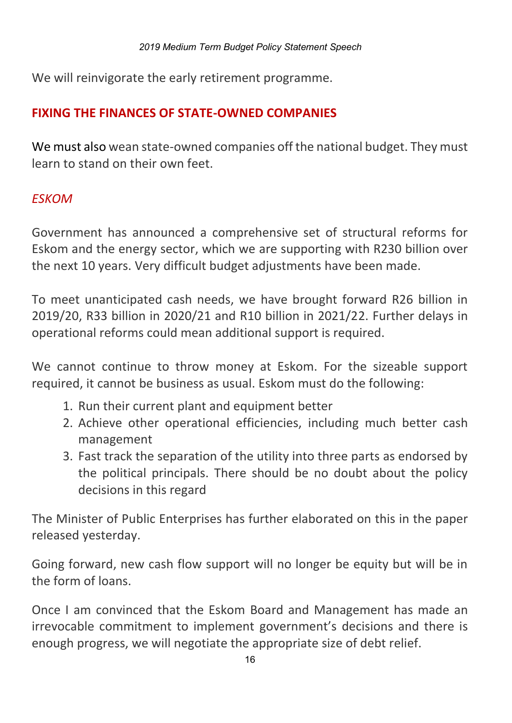We will reinvigorate the early retirement programme.

#### **FIXING THE FINANCES OF STATE-OWNED COMPANIES**

We must also wean state-owned companies off the national budget. They must learn to stand on their own feet.

#### *ESKOM*

Government has announced a comprehensive set of structural reforms for Eskom and the energy sector, which we are supporting with R230 billion over the next 10 years. Very difficult budget adjustments have been made.

To meet unanticipated cash needs, we have brought forward R26 billion in 2019/20, R33 billion in 2020/21 and R10 billion in 2021/22. Further delays in operational reforms could mean additional support is required.

We cannot continue to throw money at Eskom. For the sizeable support required, it cannot be business as usual. Eskom must do the following:

- 1. Run their current plant and equipment better
- 2. Achieve other operational efficiencies, including much better cash management
- 3. Fast track the separation of the utility into three parts as endorsed by the political principals. There should be no doubt about the policy decisions in this regard

The Minister of Public Enterprises has further elaborated on this in the paper released yesterday.

Going forward, new cash flow support will no longer be equity but will be in the form of loans.

Once I am convinced that the Eskom Board and Management has made an irrevocable commitment to implement government's decisions and there is enough progress, we will negotiate the appropriate size of debt relief.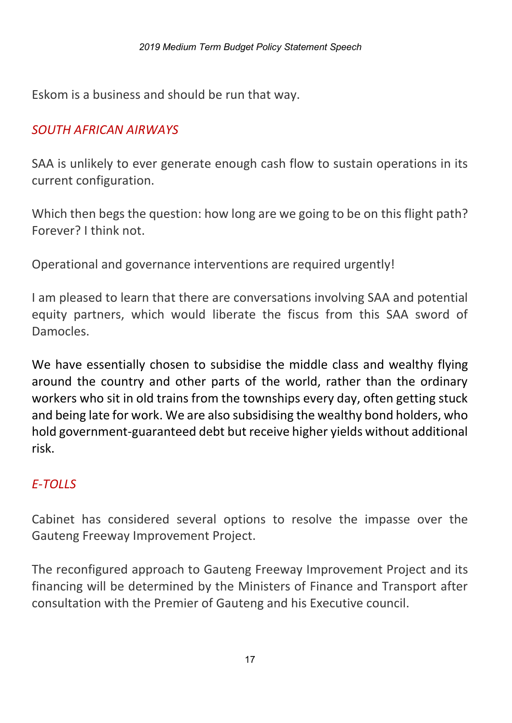Eskom is a business and should be run that way.

#### *SOUTH AFRICAN AIRWAYS*

SAA is unlikely to ever generate enough cash flow to sustain operations in its current configuration.

Which then begs the question: how long are we going to be on this flight path? Forever? I think not.

Operational and governance interventions are required urgently!

I am pleased to learn that there are conversations involving SAA and potential equity partners, which would liberate the fiscus from this SAA sword of Damocles.

We have essentially chosen to subsidise the middle class and wealthy flying around the country and other parts of the world, rather than the ordinary workers who sit in old trains from the townships every day, often getting stuck and being late for work. We are also subsidising the wealthy bond holders, who hold government-guaranteed debt but receive higher yields without additional risk.

#### *E-TOLLS*

Cabinet has considered several options to resolve the impasse over the Gauteng Freeway Improvement Project.

The reconfigured approach to Gauteng Freeway Improvement Project and its financing will be determined by the Ministers of Finance and Transport after consultation with the Premier of Gauteng and his Executive council.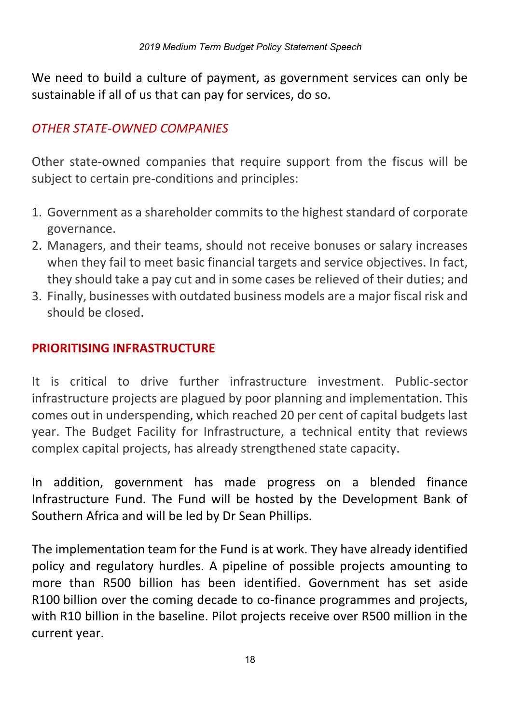We need to build a culture of payment, as government services can only be sustainable if all of us that can pay for services, do so.

### *OTHER STATE-OWNED COMPANIES*

Other state-owned companies that require support from the fiscus will be subject to certain pre-conditions and principles:

- 1. Government as a shareholder commits to the highest standard of corporate governance.
- 2. Managers, and their teams, should not receive bonuses or salary increases when they fail to meet basic financial targets and service objectives. In fact, they should take a pay cut and in some cases be relieved of their duties; and
- 3. Finally, businesses with outdated business models are a major fiscal risk and should be closed.

#### **PRIORITISING INFRASTRUCTURE**

It is critical to drive further infrastructure investment. Public-sector infrastructure projects are plagued by poor planning and implementation. This comes out in underspending, which reached 20 per cent of capital budgets last year. The Budget Facility for Infrastructure, a technical entity that reviews complex capital projects, has already strengthened state capacity.

In addition, government has made progress on a blended finance Infrastructure Fund. The Fund will be hosted by the Development Bank of Southern Africa and will be led by Dr Sean Phillips.

The implementation team for the Fund is at work. They have already identified policy and regulatory hurdles. A pipeline of possible projects amounting to more than R500 billion has been identified. Government has set aside R100 billion over the coming decade to co-finance programmes and projects, with R10 billion in the baseline. Pilot projects receive over R500 million in the current year.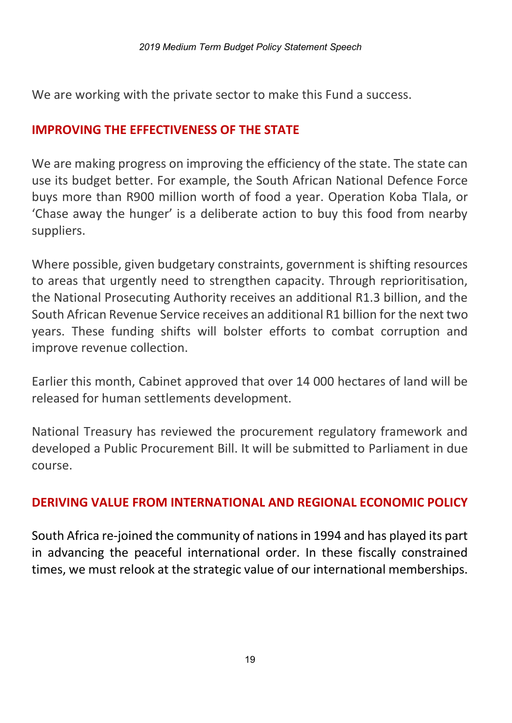We are working with the private sector to make this Fund a success.

#### **IMPROVING THE EFFECTIVENESS OF THE STATE**

We are making progress on improving the efficiency of the state. The state can use its budget better. For example, the South African National Defence Force buys more than R900 million worth of food a year. Operation Koba Tlala, or 'Chase away the hunger' is a deliberate action to buy this food from nearby suppliers.

Where possible, given budgetary constraints, government is shifting resources to areas that urgently need to strengthen capacity. Through reprioritisation, the National Prosecuting Authority receives an additional R1.3 billion, and the South African Revenue Service receives an additional R1 billion for the next two years. These funding shifts will bolster efforts to combat corruption and improve revenue collection.

Earlier this month, Cabinet approved that over 14 000 hectares of land will be released for human settlements development.

National Treasury has reviewed the procurement regulatory framework and developed a Public Procurement Bill. It will be submitted to Parliament in due course.

#### **DERIVING VALUE FROM INTERNATIONAL AND REGIONAL ECONOMIC POLICY**

South Africa re-joined the community of nations in 1994 and has played its part in advancing the peaceful international order. In these fiscally constrained times, we must relook at the strategic value of our international memberships.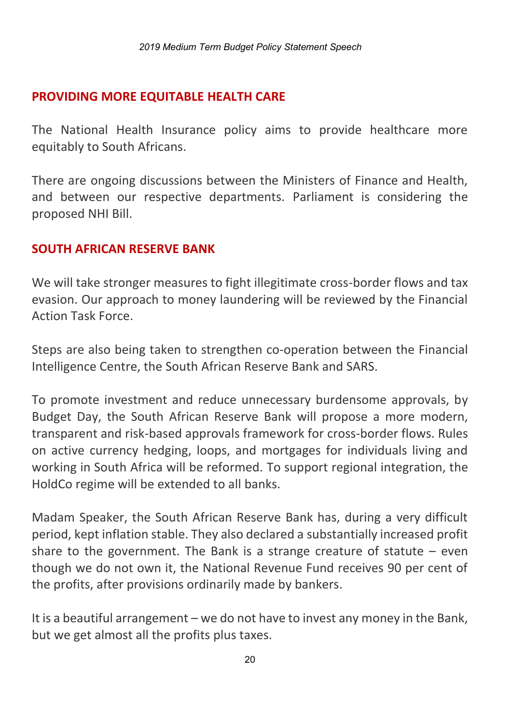#### **PROVIDING MORE EQUITABLE HEALTH CARE**

The National Health Insurance policy aims to provide healthcare more equitably to South Africans.

There are ongoing discussions between the Ministers of Finance and Health, and between our respective departments. Parliament is considering the proposed NHI Bill.

#### **SOUTH AFRICAN RESERVE BANK**

We will take stronger measures to fight illegitimate cross-border flows and tax evasion. Our approach to money laundering will be reviewed by the Financial Action Task Force.

Steps are also being taken to strengthen co-operation between the Financial Intelligence Centre, the South African Reserve Bank and SARS.

To promote investment and reduce unnecessary burdensome approvals, by Budget Day, the South African Reserve Bank will propose a more modern, transparent and risk-based approvals framework for cross-border flows. Rules on active currency hedging, loops, and mortgages for individuals living and working in South Africa will be reformed. To support regional integration, the HoldCo regime will be extended to all banks.

Madam Speaker, the South African Reserve Bank has, during a very difficult period, kept inflation stable. They also declared a substantially increased profit share to the government. The Bank is a strange creature of statute  $-$  even though we do not own it, the National Revenue Fund receives 90 per cent of the profits, after provisions ordinarily made by bankers.

It is a beautiful arrangement – we do not have to invest any money in the Bank, but we get almost all the profits plus taxes.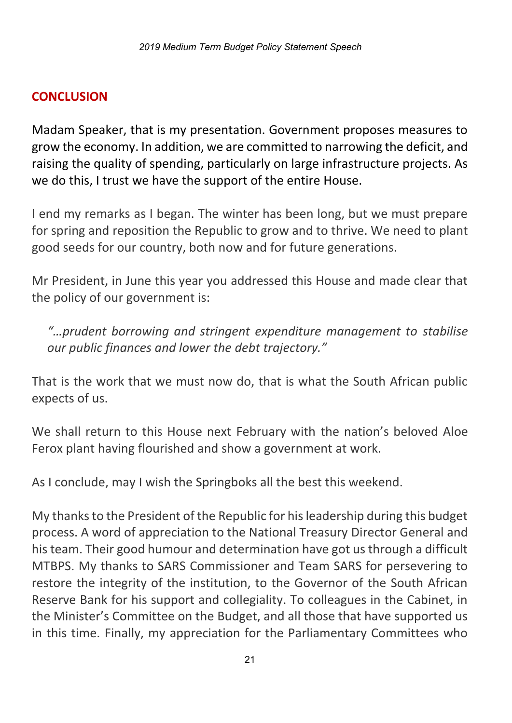#### **CONCLUSION**

Madam Speaker, that is my presentation. Government proposes measures to grow the economy. In addition, we are committed to narrowing the deficit, and raising the quality of spending, particularly on large infrastructure projects. As we do this, I trust we have the support of the entire House.

I end my remarks as I began. The winter has been long, but we must prepare for spring and reposition the Republic to grow and to thrive. We need to plant good seeds for our country, both now and for future generations.

Mr President, in June this year you addressed this House and made clear that the policy of our government is:

*"…prudent borrowing and stringent expenditure management to stabilise our public finances and lower the debt trajectory."* 

That is the work that we must now do, that is what the South African public expects of us.

We shall return to this House next February with the nation's beloved Aloe Ferox plant having flourished and show a government at work.

As I conclude, may I wish the Springboks all the best this weekend.

My thanks to the President of the Republic for his leadership during this budget process. A word of appreciation to the National Treasury Director General and his team. Their good humour and determination have got us through a difficult MTBPS. My thanks to SARS Commissioner and Team SARS for persevering to restore the integrity of the institution, to the Governor of the South African Reserve Bank for his support and collegiality. To colleagues in the Cabinet, in the Minister's Committee on the Budget, and all those that have supported us in this time. Finally, my appreciation for the Parliamentary Committees who